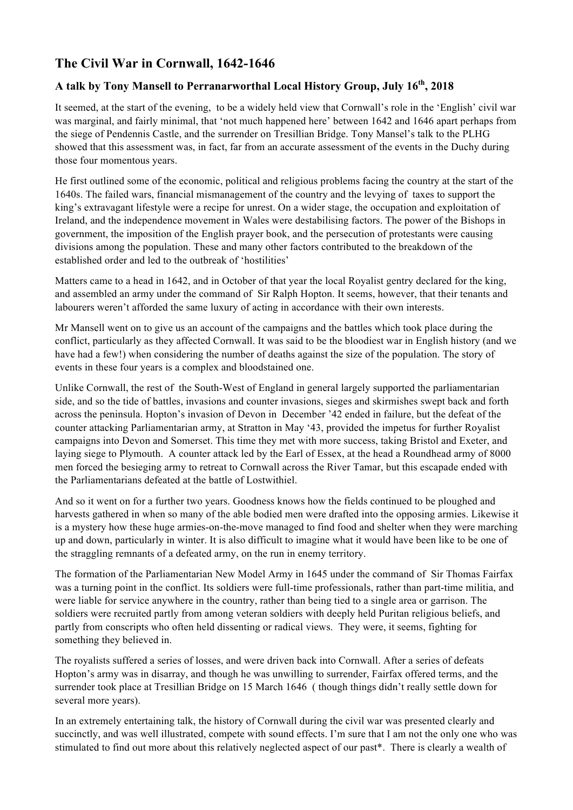## **The Civil War in Cornwall, 1642-1646**

## **A talk by Tony Mansell to Perranarworthal Local History Group, July 16th, 2018**

It seemed, at the start of the evening, to be a widely held view that Cornwall's role in the 'English' civil war was marginal, and fairly minimal, that 'not much happened here' between 1642 and 1646 apart perhaps from the siege of Pendennis Castle, and the surrender on Tresillian Bridge. Tony Mansel's talk to the PLHG showed that this assessment was, in fact, far from an accurate assessment of the events in the Duchy during those four momentous years.

He first outlined some of the economic, political and religious problems facing the country at the start of the 1640s. The failed wars, financial mismanagement of the country and the levying of taxes to support the king's extravagant lifestyle were a recipe for unrest. On a wider stage, the occupation and exploitation of Ireland, and the independence movement in Wales were destabilising factors. The power of the Bishops in government, the imposition of the English prayer book, and the persecution of protestants were causing divisions among the population. These and many other factors contributed to the breakdown of the established order and led to the outbreak of 'hostilities'

Matters came to a head in 1642, and in October of that year the local Royalist gentry declared for the king, and assembled an army under the command of Sir Ralph Hopton. It seems, however, that their tenants and labourers weren't afforded the same luxury of acting in accordance with their own interests.

Mr Mansell went on to give us an account of the campaigns and the battles which took place during the conflict, particularly as they affected Cornwall. It was said to be the bloodiest war in English history (and we have had a few!) when considering the number of deaths against the size of the population. The story of events in these four years is a complex and bloodstained one.

Unlike Cornwall, the rest of the South-West of England in general largely supported the parliamentarian side, and so the tide of battles, invasions and counter invasions, sieges and skirmishes swept back and forth across the peninsula. Hopton's invasion of Devon in December '42 ended in failure, but the defeat of the counter attacking Parliamentarian army, at Stratton in May '43, provided the impetus for further Royalist campaigns into Devon and Somerset. This time they met with more success, taking Bristol and Exeter, and laying siege to Plymouth. A counter attack led by the Earl of Essex, at the head a Roundhead army of 8000 men forced the besieging army to retreat to Cornwall across the River Tamar, but this escapade ended with the Parliamentarians defeated at the battle of Lostwithiel.

And so it went on for a further two years. Goodness knows how the fields continued to be ploughed and harvests gathered in when so many of the able bodied men were drafted into the opposing armies. Likewise it is a mystery how these huge armies-on-the-move managed to find food and shelter when they were marching up and down, particularly in winter. It is also difficult to imagine what it would have been like to be one of the straggling remnants of a defeated army, on the run in enemy territory.

The formation of the Parliamentarian New Model Army in 1645 under the command of Sir Thomas Fairfax was a turning point in the conflict. Its soldiers were full-time professionals, rather than part-time militia, and were liable for service anywhere in the country, rather than being tied to a single area or garrison. The soldiers were recruited partly from among veteran soldiers with deeply held Puritan religious beliefs, and partly from conscripts who often held dissenting or radical views. They were, it seems, fighting for something they believed in.

The royalists suffered a series of losses, and were driven back into Cornwall. After a series of defeats Hopton's army was in disarray, and though he was unwilling to surrender, Fairfax offered terms, and the surrender took place at Tresillian Bridge on 15 March 1646 ( though things didn't really settle down for several more years).

In an extremely entertaining talk, the history of Cornwall during the civil war was presented clearly and succinctly, and was well illustrated, compete with sound effects. I'm sure that I am not the only one who was stimulated to find out more about this relatively neglected aspect of our past\*. There is clearly a wealth of